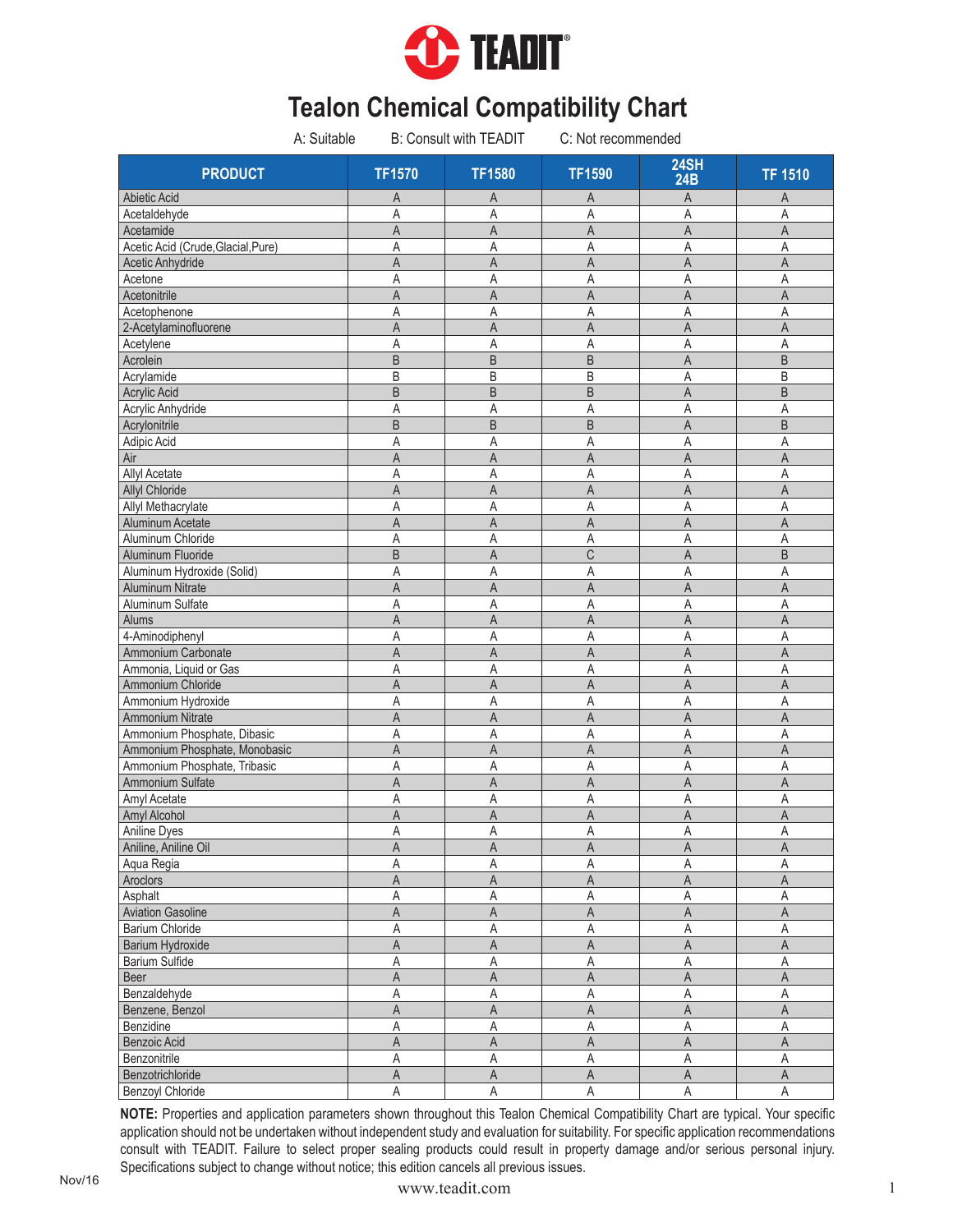

|                                    | A: Suitable |                | B: Consult with TEADIT | C: Not recommended      |                         |                         |
|------------------------------------|-------------|----------------|------------------------|-------------------------|-------------------------|-------------------------|
| <b>PRODUCT</b>                     |             | <b>TF1570</b>  | <b>TF1580</b>          | <b>TF1590</b>           | <b>24SH</b><br>24B      | <b>TF 1510</b>          |
| Abietic Acid                       |             | Α              | A                      | A                       | A                       | A                       |
| Acetaldehyde                       |             | Α              | Α                      | Α                       | Α                       | A                       |
| Acetamide                          |             | Α              | Α                      | Α                       | A                       | A                       |
| Acetic Acid (Crude, Glacial, Pure) |             | Α              | Α                      | Α                       | Α                       | Α                       |
| Acetic Anhydride                   |             | A              | A                      | A                       | A                       | $\overline{A}$          |
| Acetone                            |             | Α              | Α                      | Α                       | Α                       | A                       |
| Acetonitrile                       |             | Α              | A                      | Α                       | A                       | A                       |
| Acetophenone                       |             | Α              | A                      | A                       | A                       | A                       |
| 2-Acetylaminofluorene              |             | A              | A                      | $\overline{A}$          | $\mathsf{A}$            | A                       |
| Acetylene                          |             | Α              | A                      | Α                       | A                       | Α                       |
| Acrolein                           |             | B              | B                      | B                       | $\mathsf A$             | B                       |
| Acrylamide                         |             | B              | B                      | B                       | A                       | B                       |
| <b>Acrylic Acid</b>                |             | B              | B                      | B                       | $\overline{A}$          | B                       |
| Acrylic Anhydride                  |             | Α              | Α                      | Α                       | Α                       | Α                       |
| Acrylonitrile                      |             | B              | B                      | $\sf B$                 | A                       | B                       |
| Adipic Acid                        |             | A              | Α                      | A                       | A                       | Α                       |
| Air                                |             | A              | A                      | A                       | $\overline{A}$          | $\overline{A}$          |
| Allyl Acetate                      |             | Α              | Α                      | Α                       | Α                       | Α                       |
| <b>Allyl Chloride</b>              |             | A              | A                      | A                       | $\overline{A}$          | A                       |
| Allyl Methacrylate                 |             | Α              | A                      | Α                       | A                       | A                       |
| Aluminum Acetate                   |             | A              | A                      | A                       | $\overline{A}$          | A                       |
| Aluminum Chloride                  |             | A              | A                      | Α                       | A                       | A                       |
| Aluminum Fluoride                  |             | B              | A                      | $\mathsf C$             | $\overline{A}$          | B                       |
| Aluminum Hydroxide (Solid)         |             | Α              | Α                      | Α                       | A                       | Α                       |
| <b>Aluminum Nitrate</b>            |             | A              | $\overline{A}$         | A                       | $\overline{A}$          | $\overline{A}$          |
| Aluminum Sulfate                   |             | Α              | Α                      | Α                       | Α                       | Α                       |
| Alums                              |             | A              | A                      | A                       | $\overline{A}$          | $\mathsf{A}$            |
| 4-Aminodiphenyl                    |             | Α              | Α                      | Α                       | A                       | A                       |
| Ammonium Carbonate                 |             | A              | A                      | A                       | A                       | $\mathsf{A}$            |
| Ammonia, Liquid or Gas             |             | Α              | Α                      | Α                       | Α                       | Α                       |
| Ammonium Chloride                  |             | A              | A                      | A                       | A                       | $\mathsf{A}$            |
| Ammonium Hydroxide                 |             | Α              | Α                      | Α                       | A                       | Α                       |
| <b>Ammonium Nitrate</b>            |             | A              | A                      | A                       | A                       | A                       |
| Ammonium Phosphate, Dibasic        |             | Α              | Α                      | Α                       | A                       | Α                       |
| Ammonium Phosphate, Monobasic      |             | A              | A                      | $\mathsf{A}$            | A                       | $\mathsf{A}$            |
| Ammonium Phosphate, Tribasic       |             | A              | Α                      | Α                       | Α                       | A                       |
| Ammonium Sulfate                   |             | A              | A                      | A                       | A                       | A                       |
| Amyl Acetate                       |             | Α              | Α                      | Α                       | Α                       | Α                       |
| Amyl Alcohol                       |             | A              | $\overline{A}$         | $\mathsf{A}$            | $\overline{A}$          | A                       |
| Aniline Dyes                       |             | A              | Α                      | $\mathsf A$             | $\mathsf{A}$            | A                       |
| Aniline, Aniline Oil               |             | A              | $\mathsf A$            | $\overline{\mathsf{A}}$ | $\overline{\mathsf{A}}$ | $\overline{\mathsf{A}}$ |
| Aqua Regia                         |             | Α              | A                      | Α                       | А                       | Α                       |
| Aroclors                           |             | A              | $\mathsf A$            | $\mathsf A$             | $\overline{A}$          | $\overline{\mathsf{A}}$ |
| Asphalt                            |             | Α              | A                      | Α                       | $\mathsf A$             | A                       |
| <b>Aviation Gasoline</b>           |             | A              | A                      | A                       | $\mathsf A$             | $\mathsf A$             |
| Barium Chloride                    |             | Α              | $\overline{A}$         | Α                       | Α                       | Α                       |
| Barium Hydroxide                   |             | $\overline{A}$ | $\overline{A}$         | A                       | $\overline{A}$          | $\overline{A}$          |
| Barium Sulfide                     |             | A              | Α                      | A                       | A                       | A                       |
| Beer                               |             | A              | Α                      | Α                       | A                       | A                       |
| Benzaldehyde                       |             | Α              | A                      | Α                       | A                       | Α                       |
| Benzene, Benzol                    |             | A              | $\mathsf A$            | A                       | A                       | $\mathsf A$             |
| Benzidine                          |             | Α              | Α                      | Α                       | Α                       | A                       |
| Benzoic Acid                       |             | Α              | A                      | Α                       | Α                       | A                       |
| Benzonitrile                       |             | Α              | A                      | Α                       | Α                       | Α                       |
| Benzotrichloride                   |             | A              | $\mathsf A$            | $\mathsf A$             | $\mathsf A$             | $\mathsf A$             |
| Benzoyl Chloride                   |             | Α              | A                      | A                       | A                       | A                       |

Nov/16 Nov/16 Nov/16 Nov/16 Nov/16 Nov/16 Nov/16 Nov/16 Nov/16 Nov/16 Nov/16 Nov/16 Nov/16 Nov/16 Nov/16 Nov/16 Nov/16 Nov/16 Nov/16 Nov/16 Nov/16 Nov/16 Nov/16 Nov/16 Nov/16 Nov/16 Nov/16 Nov/16 Nov/16 Nov/16 Nov/16 Nov/1 **NOTE:** Properties and application parameters shown throughout this Tealon Chemical Compatibility Chart are typical. Your specific application should not be undertaken without independent study and evaluation for suitability. For specific application recommendations consult with TEADIT. Failure to select proper sealing products could result in property damage and/or serious personal injury. Specifications subject to change without notice; this edition cancels all previous issues.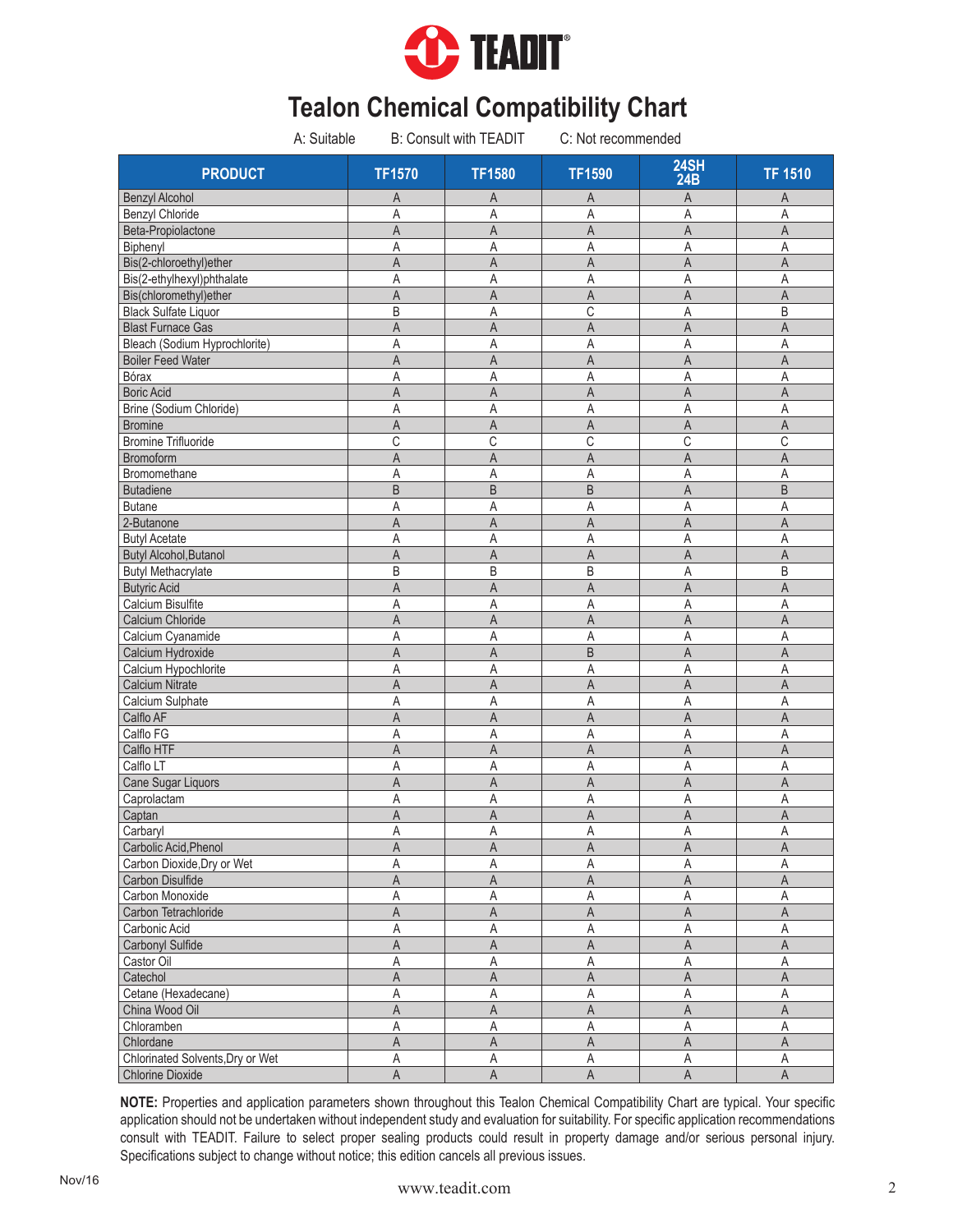

| A: Suitable                         |                | <b>B: Consult with TEADIT</b> | C: Not recommended |                           |                |
|-------------------------------------|----------------|-------------------------------|--------------------|---------------------------|----------------|
| <b>PRODUCT</b>                      | <b>TF1570</b>  | <b>TF1580</b>                 | <b>TF1590</b>      | <b>24SH</b><br><b>24B</b> | <b>TF 1510</b> |
| <b>Benzyl Alcohol</b>               | Α              | A                             | A                  | A                         | Α              |
| <b>Benzyl Chloride</b>              | Α              | A                             | A                  | A                         | A              |
| Beta-Propiolactone                  | A              | A                             | A                  | A                         | A              |
| Biphenyl                            | Α              | Α                             | Α                  | A                         | A              |
| Bis(2-chloroethyl)ether             | A              | $\overline{A}$                | A                  | A                         | $\overline{A}$ |
| Bis(2-ethylhexyl)phthalate          | Α              | Α                             | A                  | A                         | A              |
| Bis(chloromethyl)ether              | A              | A                             | A                  | A                         | A              |
| <b>Black Sulfate Liquor</b>         | B              | A                             | С                  | A                         | B              |
| <b>Blast Furnace Gas</b>            | A              | A                             | $\overline{A}$     | $\overline{A}$            | A              |
| Bleach (Sodium Hyprochlorite)       | A              | A                             | Α                  | A                         | A              |
| <b>Boiler Feed Water</b>            | A              | A                             | A                  | A                         | A              |
| Bórax                               | Α              | A                             | Α                  | A                         | A              |
| <b>Boric Acid</b>                   | A              | A                             | A                  | A                         | A              |
| Brine (Sodium Chloride)             | Α              | Α                             | Α                  | A                         | Α              |
| <b>Bromine</b>                      | Α              | A                             | A                  | A                         | A              |
| <b>Bromine Trifluoride</b>          | C              | C                             | С                  | C                         | $\mathsf C$    |
| Bromoform                           | A              | $\overline{A}$                | $\overline{A}$     | A                         | A              |
| Bromomethane                        | Α              | Α                             | Α                  | A                         | A              |
| <b>Butadiene</b>                    | B              | B                             | B                  | A                         | B              |
| <b>Butane</b>                       | Α              | A                             | Α                  | A                         | A              |
| 2-Butanone                          | A              | A                             | A                  | A                         | A              |
| <b>Butyl Acetate</b>                | Α              | Α                             | Α                  | Α                         | A              |
| Butyl Alcohol, Butanol              | A              | A                             | A                  | A                         | A              |
| <b>Butyl Methacrylate</b>           | B              | B                             | B                  | A                         | B              |
| <b>Butyric Acid</b>                 | A              | $\overline{A}$                | A                  | $\overline{\mathsf{A}}$   | $\mathsf{A}$   |
| Calcium Bisulfite                   | Α              | A                             | Α                  | A                         | Α              |
| Calcium Chloride                    | A              | A                             | A                  | $\overline{A}$            | $\mathsf A$    |
| Calcium Cyanamide                   | A              | Α                             | A                  | A                         | A              |
| Calcium Hydroxide                   | $\overline{A}$ | $\overline{A}$                | B                  | $\overline{A}$            | $\overline{A}$ |
| Calcium Hypochlorite                | Α              | Α                             | Α                  | A                         | Α              |
| Calcium Nitrate                     | A              | A                             | A                  | $\overline{A}$            | $\mathsf{A}$   |
| Calcium Sulphate                    | Α              | Α                             | A                  | A                         | Α              |
| Calflo AF                           | A              | A                             | A                  | A                         | A              |
| Calflo FG                           | A              | Α                             | A                  | A                         | Α              |
| Calflo HTF                          | A              | A                             | A                  | $\overline{A}$            | $\mathsf{A}$   |
| Calflo LT                           | Α              | A                             | Α                  | A                         | Α              |
| Cane Sugar Liquors                  | A              | A                             | A                  | A                         | A              |
| Caprolactam                         | Α              | Α                             | Α                  | Α                         | Α              |
| Captan                              | A              | $\mathsf A$                   | A                  | A                         | $\mathsf A$    |
| Carbaryl                            | $\mathsf A$    |                               | $\mathsf A$        |                           | $\mathsf A$    |
|                                     |                | A                             |                    | $\mathsf A$               |                |
| Carbolic Acid, Phenol               | Α              | $\mathsf A$                   | $\mathsf A$        | $\mathsf A$               | $\mathsf A$    |
| Carbon Dioxide, Dry or Wet          | Α              | Α                             | Α                  | Α                         | Α              |
| Carbon Disulfide<br>Carbon Monoxide | A              | A                             | A                  | $\overline{A}$            | A              |
|                                     | Α              | Α                             | Α                  | Α                         | A              |
| Carbon Tetrachloride                | A              | A                             | A                  | $\mathsf A$               | $\mathsf A$    |
| Carbonic Acid                       | Α              | Α                             | Α                  | Α                         | $\mathsf A$    |
| Carbonyl Sulfide                    | A              | $\mathsf A$                   | $\mathsf A$        | $\mathsf A$               | $\mathsf A$    |
| Castor Oil                          | Α              | $\mathsf A$                   | Α                  | A                         | $\mathsf A$    |
| Catechol                            | A              | $\mathsf A$                   | A                  | $\mathsf{A}$              | $\mathsf A$    |
| Cetane (Hexadecane)                 | Α              | A                             | Α                  | Α                         | Α              |
| China Wood Oil                      | A              | $\mathsf{A}$                  | A                  | $\mathsf A$               | $\overline{A}$ |
| Chloramben                          | A              | A                             | Α                  | A                         | A              |
| Chlordane                           | A              | $\overline{A}$                | A                  | $\mathsf A$               | $\mathsf A$    |
| Chlorinated Solvents, Dry or Wet    | А              | Α                             | Α                  | Α                         | Α              |
| Chlorine Dioxide                    | A              | A                             | A                  | $\overline{\mathsf{A}}$   | $\overline{A}$ |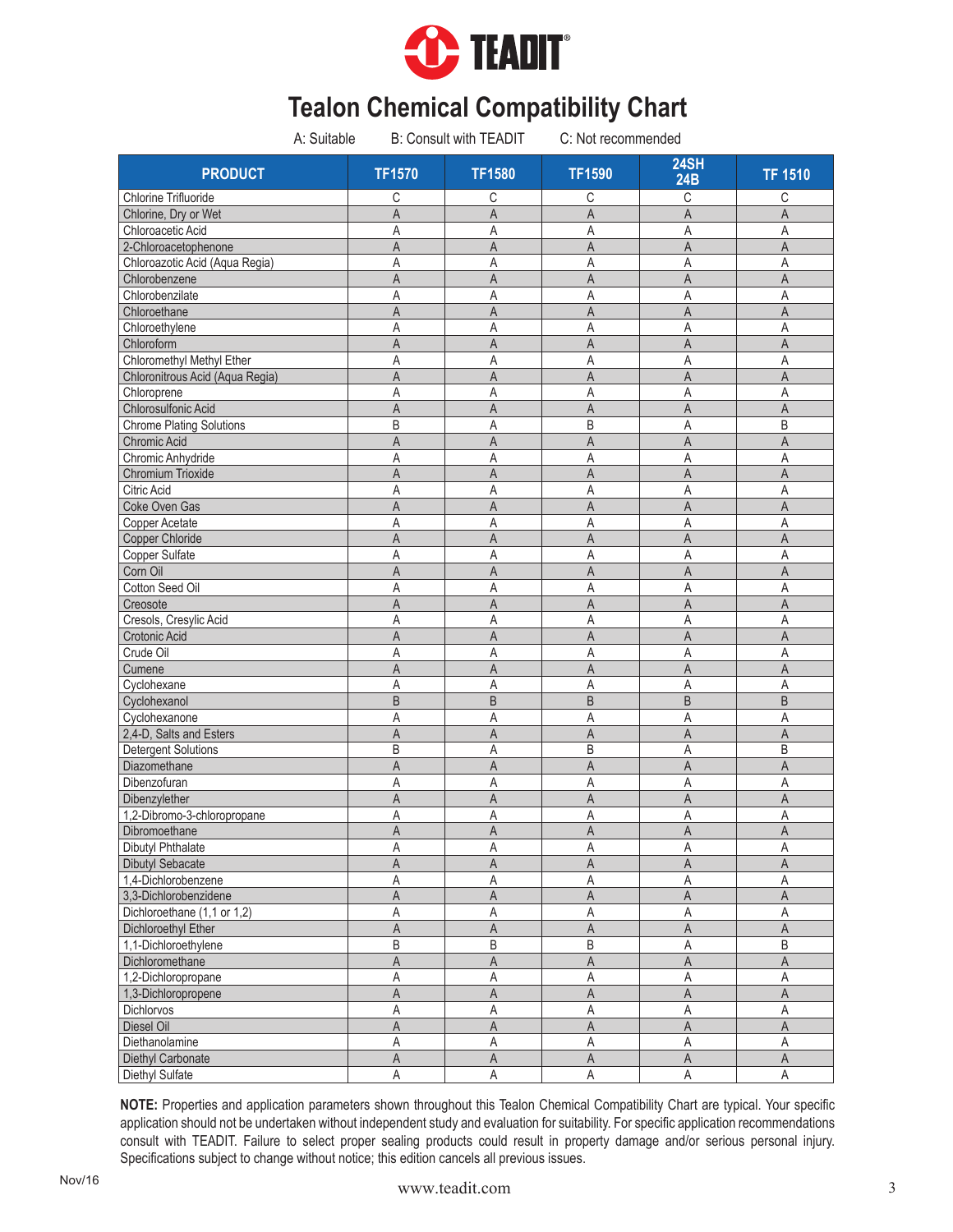

| A: Suitable                     |                         | <b>B: Consult with TEADIT</b> | C: Not recommended |                         |                         |
|---------------------------------|-------------------------|-------------------------------|--------------------|-------------------------|-------------------------|
| <b>PRODUCT</b>                  | <b>TF1570</b>           | <b>TF1580</b>                 | <b>TF1590</b>      | 24SH<br><b>24B</b>      | <b>TF 1510</b>          |
| <b>Chlorine Trifluoride</b>     | С                       | С                             | С                  | C                       | С                       |
| Chlorine, Dry or Wet            | A                       | A                             | A                  | $\overline{A}$          | A                       |
| Chloroacetic Acid               | A                       | Α                             | Α                  | Α                       | Α                       |
| 2-Chloroacetophenone            | A                       | $\mathsf A$                   | A                  | A                       | $\mathsf{A}$            |
| Chloroazotic Acid (Aqua Regia)  | Α                       | Α                             | Α                  | A                       | Α                       |
| Chlorobenzene                   | A                       | A                             | A                  | $\overline{A}$          | $\overline{A}$          |
| Chlorobenzilate                 | A                       | A                             | A                  | A                       | A                       |
| Chloroethane                    | A                       | A                             | A                  | $\overline{A}$          | $\overline{A}$          |
| Chloroethylene                  | A                       | Α                             | Α                  | A                       | A                       |
| Chloroform                      | A                       | A                             | A                  | $\overline{A}$          | $\mathsf{A}$            |
| Chloromethyl Methyl Ether       | A                       | Α                             | Α                  | Α                       | Α                       |
| Chloronitrous Acid (Aqua Regia) | A                       | A                             | A                  | $\overline{A}$          | $\mathsf{A}$            |
| Chloroprene                     | Α                       | Α                             | Α                  | Α                       | Α                       |
| Chlorosulfonic Acid             | A                       | A                             | A                  | A                       | $\mathsf{A}$            |
| <b>Chrome Plating Solutions</b> | B                       | Α                             | B                  | Α                       | B                       |
| Chromic Acid                    | $\overline{A}$          | $\overline{A}$                | $\overline{A}$     | $\overline{A}$          | $\overline{A}$          |
| Chromic Anhydride               | Α                       | Α                             | Α                  | A                       | A                       |
| Chromium Trioxide               | A                       | A                             | A                  | A                       | $\mathsf A$             |
| <b>Citric Acid</b>              | A                       | A                             | Α                  | Α                       | A                       |
| Coke Oven Gas                   | A                       | $\mathsf A$                   | A                  | A                       | A                       |
| Copper Acetate                  | Α                       | Α                             | Α                  | Α                       | A                       |
| Copper Chloride                 | A                       | A                             | A                  | A                       | A                       |
| Copper Sulfate                  | Α                       | Α                             | Α                  | A                       | A                       |
| Corn Oil                        | A                       | $\mathsf A$                   | A                  | $\mathsf A$             | $\mathsf{A}$            |
|                                 |                         |                               |                    |                         |                         |
| Cotton Seed Oil<br>Creosote     | Α<br>A                  | A<br>$\overline{A}$           | Α<br>A             | A<br>A                  | A<br>A                  |
|                                 |                         |                               |                    |                         |                         |
| Cresols, Cresylic Acid          | A                       | Α                             | Α                  | A                       | Α                       |
| Crotonic Acid                   | $\overline{A}$          | $\overline{A}$                | $\overline{A}$     | $\overline{A}$          | $\overline{A}$          |
| Crude Oil                       | A                       | A                             | Α                  | A                       | A                       |
| Cumene                          | A                       | $\overline{A}$                | A                  | A                       | $\mathsf{A}$            |
| Cyclohexane                     | A                       | Α                             | A                  | A                       | A                       |
| Cyclohexanol                    | $\overline{B}$          | B                             | B                  | B                       | B                       |
| Cyclohexanone                   | Α                       | Α                             | Α                  | A                       | A                       |
| 2,4-D, Salts and Esters         | A                       | A                             | A                  | A                       | A                       |
| <b>Detergent Solutions</b>      | B                       | Α                             | B                  | A                       | B                       |
| Diazomethane                    | A                       | A                             | A                  | $\overline{A}$          | $\mathsf{A}$            |
| Dibenzofuran                    | A                       | Α                             | Α                  | A                       | A                       |
| Dibenzylether                   | Α                       | A                             | A                  | A                       | A                       |
| 1,2-Dibromo-3-chloropropane     | Α                       | Α                             | Α                  | Α                       | Α                       |
| Dibromoethane                   | $\mathsf{A}$            | $\mathsf A$                   | $\sf A$            | $\mathsf A$             | $\overline{\mathsf{A}}$ |
| Dibutyl Phthalate               | Α                       | Α                             | Α                  | A                       | Α                       |
| <b>Dibutyl Sebacate</b>         | Α                       | Α                             | Α                  | Α                       | A                       |
| 1,4-Dichlorobenzene             | Α                       | $\mathsf A$                   | Α                  | А                       | Α                       |
| 3,3-Dichlorobenzidene           | Α                       | $\mathsf A$                   | $\mathsf A$        | $\overline{\mathsf{A}}$ | A                       |
| Dichloroethane (1,1 or 1,2)     | Α                       | Α                             | Α                  | $\mathsf A$             | $\mathsf A$             |
| Dichloroethyl Ether             | Α                       | A                             | Α                  | $\mathsf A$             | A                       |
| 1,1-Dichloroethylene            | B                       | $\sf B$                       | B                  | $\sf A$                 | B                       |
| Dichloromethane                 | A                       | $\mathsf A$                   | A                  | $\overline{\mathsf{A}}$ | $\mathsf A$             |
| 1,2-Dichloropropane             | Α                       | Α                             | Α                  | $\mathsf A$             | Α                       |
| 1,3-Dichloropropene             | A                       | $\mathsf A$                   | A                  | $\mathsf A$             | A                       |
| <b>Dichlorvos</b>               | Α                       | $\mathsf A$                   | Α                  | Α                       | Α                       |
| Diesel Oil                      | $\overline{A}$          | $\mathsf A$                   | A                  | $\overline{A}$          | $\overline{\mathsf{A}}$ |
| Diethanolamine                  | A                       | $\mathsf A$                   | Α                  | $\mathsf A$             | $\mathsf A$             |
| Diethyl Carbonate               | $\overline{\mathsf{A}}$ | $\mathsf A$                   | $\mathsf A$        | $\mathsf A$             | $\mathsf A$             |
| Diethyl Sulfate                 | A                       | A                             | A                  | A                       | $\mathsf A$             |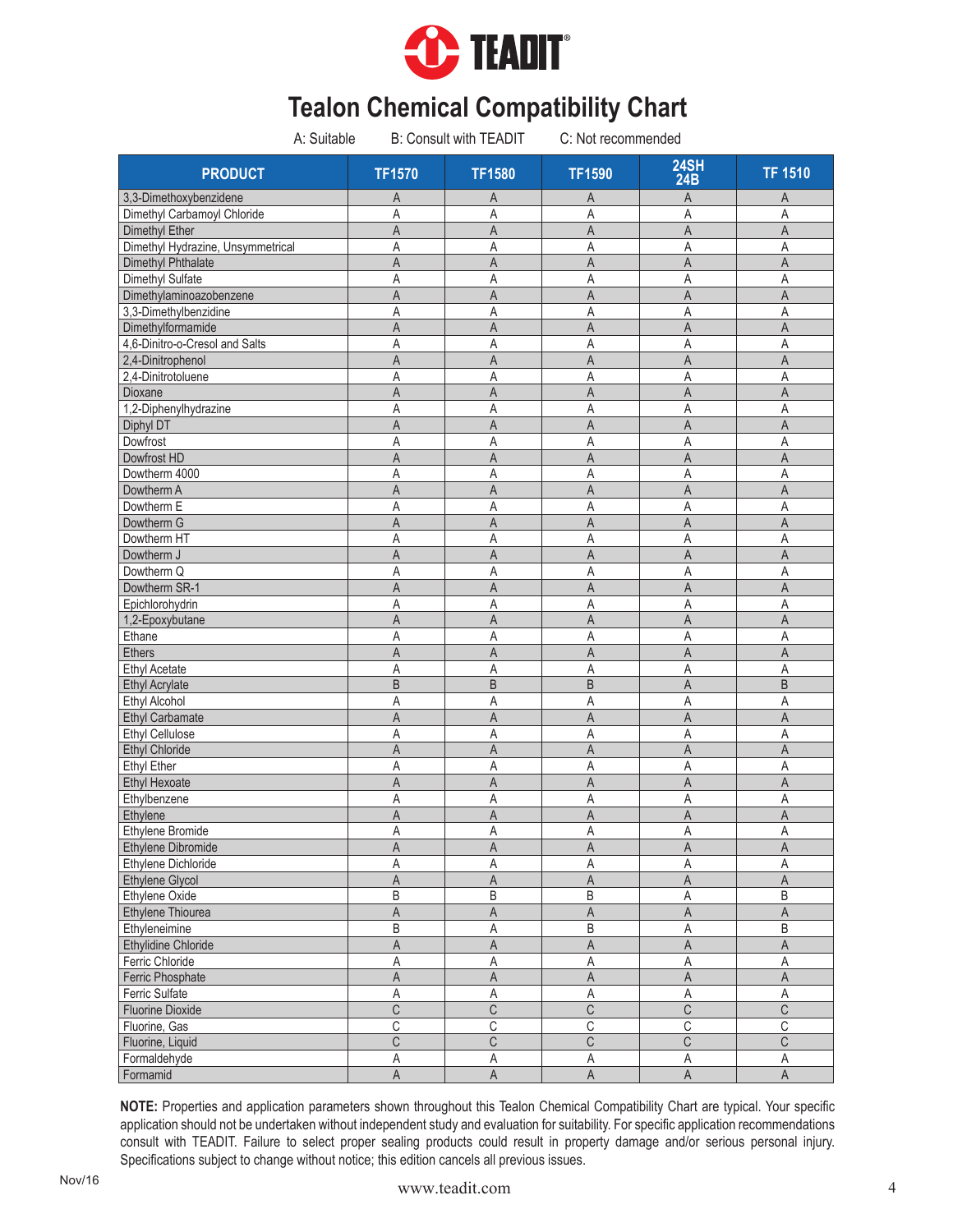

| A: Suitable                       |                         | <b>B: Consult with TEADIT</b> | C: Not recommended      |                         |                         |
|-----------------------------------|-------------------------|-------------------------------|-------------------------|-------------------------|-------------------------|
| <b>PRODUCT</b>                    | <b>TF1570</b>           | <b>TF1580</b>                 | <b>TF1590</b>           | 24SH<br>24B             | <b>TF 1510</b>          |
| 3,3-Dimethoxybenzidene            | Α                       | A                             | A                       | A                       | A                       |
| Dimethyl Carbamoyl Chloride       | A                       | A                             | Α                       | A                       | A                       |
| Dimethyl Ether                    | A                       | A                             | A                       | A                       | A                       |
| Dimethyl Hydrazine, Unsymmetrical | Α                       | A                             | Α                       | A                       | Α                       |
| Dimethyl Phthalate                | A                       | $\overline{A}$                | $\overline{A}$          | A                       | $\overline{A}$          |
| Dimethyl Sulfate                  | A                       | Α                             | Α                       | A                       | Α                       |
| Dimethylaminoazobenzene           | A                       | A                             | A                       | A                       | A                       |
| 3,3-Dimethylbenzidine             | A                       | Α                             | Α                       | A                       | A                       |
| Dimethylformamide                 | A                       | A                             | $\overline{A}$          | $\overline{A}$          | $\overline{A}$          |
| 4,6-Dinitro-o-Cresol and Salts    | A                       | A                             | A                       | A                       | A                       |
| 2,4-Dinitrophenol                 | A                       | A                             | A                       | A                       | A                       |
| 2,4-Dinitrotoluene                | Α                       | Α                             | Α                       | A                       | A                       |
| Dioxane                           | A                       | A                             | A                       | A                       | $\mathsf{A}$            |
| 1,2-Diphenylhydrazine             | Α                       | Α                             | Α                       | Α                       | A                       |
| Diphyl DT                         | Α                       | A                             | A                       | A                       | A                       |
| Dowfrost                          | Α                       | Α                             | Α                       | Α                       | A                       |
| Dowfrost HD                       | A                       | A                             | A                       | A                       | $\overline{A}$          |
| Dowtherm 4000                     | Α                       | A                             | Α                       | Α                       | A                       |
| Dowtherm A                        | A                       | A                             | A                       | A                       | A                       |
| Dowtherm E                        | A                       | A                             | A                       | Α                       | Α                       |
| Dowtherm G                        | A                       | A                             | A                       | A                       | A                       |
| Dowtherm HT                       | Α                       | Α                             | A                       | Α                       | A                       |
| Dowtherm J                        | A                       | A                             | A                       | $\mathsf A$             | $\overline{A}$          |
| Dowtherm Q                        | Α                       | A                             | Α                       | A                       | A                       |
| Dowtherm SR-1                     | A                       | $\mathsf{A}$                  | A                       | $\overline{A}$          | $\overline{A}$          |
| Epichlorohydrin                   | Α                       | A                             | A                       | Α                       | Α                       |
| 1,2-Epoxybutane                   | A                       | A                             | A                       | A                       | A                       |
| Ethane                            | A                       | Α                             | Α                       | A                       | Α                       |
| <b>Ethers</b>                     | A                       | $\mathsf{A}$                  | A                       | $\overline{A}$          | $\mathsf{A}$            |
| <b>Ethyl Acetate</b>              | Α                       | Α                             | Α                       | Α                       | Α                       |
| <b>Ethyl Acrylate</b>             | B                       | B                             | $\sf B$                 | $\overline{A}$          | B                       |
| Ethyl Alcohol                     | A                       | Α                             | Α                       | A                       | Α                       |
| <b>Ethyl Carbamate</b>            | A                       | A                             | A                       | $\overline{A}$          | $\overline{A}$          |
| <b>Ethyl Cellulose</b>            | Α                       | Α                             | Α                       | A                       | Α                       |
| <b>Ethyl Chloride</b>             | A                       | $\mathsf A$                   | A                       | $\mathsf A$             | $\mathsf{A}$            |
| <b>Ethyl Ether</b>                | Α                       | Α                             | Α                       | A                       | Α                       |
| <b>Ethyl Hexoate</b>              | A                       | A                             | A                       | $\overline{A}$          | A                       |
| Ethylbenzene                      | Α                       | Α                             | Α                       | Α                       | Α                       |
| Ethylene                          | $\overline{A}$          | $\mathsf A$                   | A                       | A                       | A                       |
| Ethylene Bromide                  | $\overline{\mathsf{A}}$ | $\mathsf A$                   | $\mathsf A$             | $\mathsf A$             | $\sf A$                 |
| Ethylene Dibromide                | A                       | $\mathsf A$                   | $\mathsf A$             | $\mathsf A$             | $\mathsf A$             |
| Ethylene Dichloride               | Α                       | Α                             | Α                       | Α                       | Α                       |
| Ethylene Glycol                   | A                       | $\mathsf A$                   | A                       | $\mathsf A$             | $\mathsf A$             |
| Ethylene Oxide                    | B                       | B                             | B                       | $\mathsf A$             | $\overline{B}$          |
| Ethylene Thiourea                 | A                       | $\mathsf A$                   | Α                       | $\mathsf A$             | $\mathsf A$             |
| Ethyleneimine                     | B                       | Α                             | B                       | $\mathsf A$             | $\sf B$                 |
| Ethylidine Chloride               | $\overline{\mathsf{A}}$ | $\mathsf A$                   | A                       | $\sf A$                 | $\overline{\mathsf{A}}$ |
| Ferric Chloride                   | Α                       | $\mathsf A$                   | $\mathsf A$             | $\mathsf A$             | $\mathsf A$             |
| Ferric Phosphate                  | $\mathsf{A}$            | $\mathsf A$                   | $\mathsf A$             | $\mathsf A$             | $\mathsf A$             |
| Ferric Sulfate                    | Α                       | $\mathsf A$                   | Α                       | $\mathsf A$             | Α                       |
| <b>Fluorine Dioxide</b>           | $\overline{\mathsf{C}}$ | $\overline{C}$                | $\overline{C}$          | $\overline{C}$          | $\overline{\mathbb{C}}$ |
| Fluorine, Gas                     | $\overline{C}$          | $\overline{C}$                | $\overline{\mathbb{C}}$ | $\overline{C}$          | $\overline{C}$          |
| Fluorine, Liquid                  | C                       | $\mathsf C$                   | С                       | $\overline{C}$          | $\overline{\mathbb{C}}$ |
| Formaldehyde                      | $\overline{A}$          | Α                             | Α                       | $\overline{A}$          | Α                       |
| Formamid                          | $\overline{A}$          | $\overline{\mathsf{A}}$       | $\overline{\mathsf{A}}$ | $\overline{\mathsf{A}}$ | $\overline{\mathsf{A}}$ |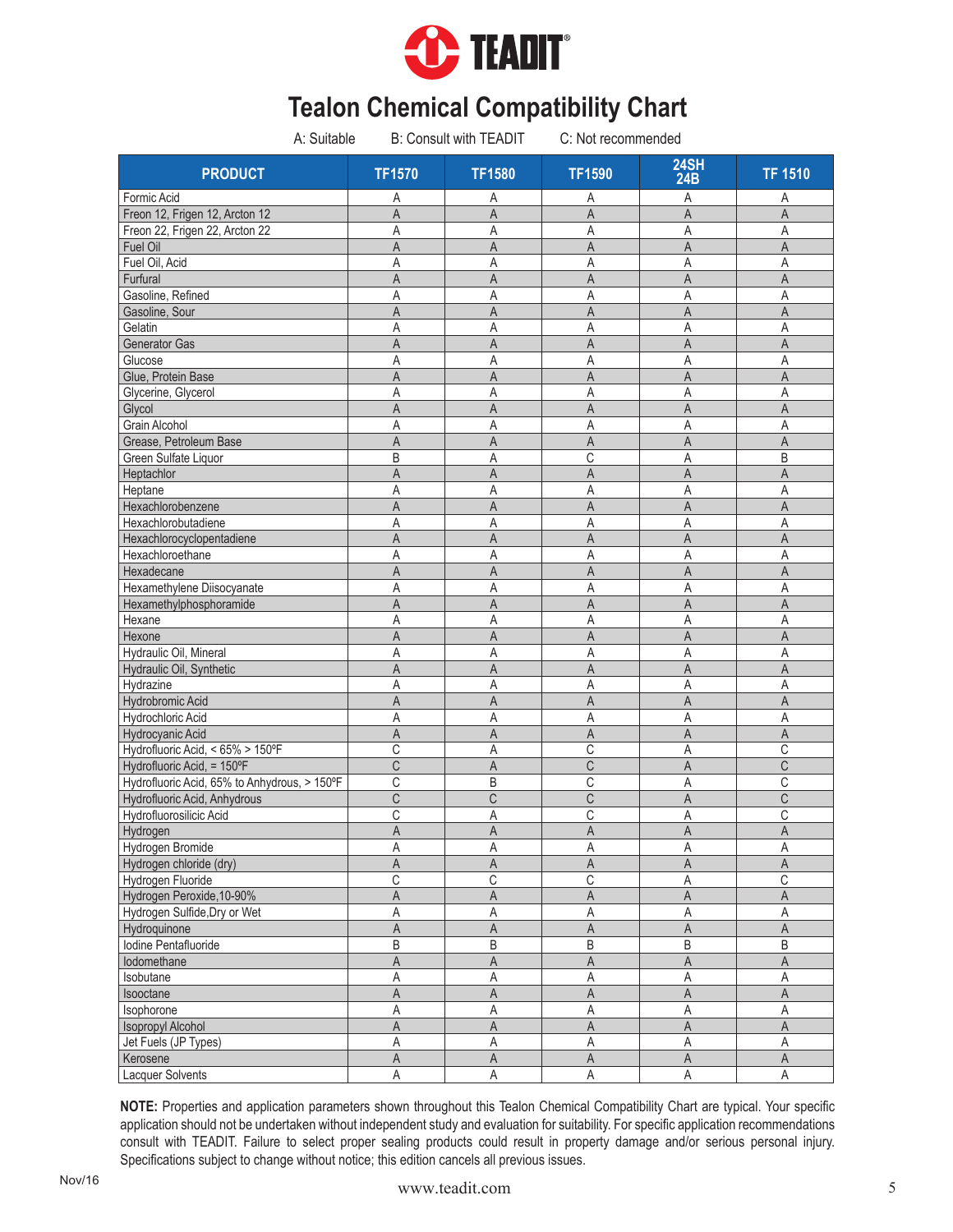

| A: Suitable                                  |                         | <b>B: Consult with TEADIT</b> | C: Not recommended |                         |                         |
|----------------------------------------------|-------------------------|-------------------------------|--------------------|-------------------------|-------------------------|
| <b>PRODUCT</b>                               | <b>TF1570</b>           | <b>TF1580</b>                 | <b>TF1590</b>      | 24SH<br>24B             | <b>TF 1510</b>          |
| Formic Acid                                  | Α                       | Α                             | Α                  | A                       | Α                       |
| Freon 12, Frigen 12, Arcton 12               | A                       | A                             | A                  | $\overline{A}$          | A                       |
| Freon 22, Frigen 22, Arcton 22               | A                       | Α                             | Α                  | Α                       | Α                       |
| Fuel Oil                                     | $\overline{A}$          | A                             | A                  | $\mathsf{A}$            | $\mathsf{A}$            |
| Fuel Oil, Acid                               | Α                       | A                             | Α                  | Α                       | Α                       |
| Furfural                                     | A                       | A                             | A                  | $\overline{A}$          | A                       |
| Gasoline, Refined                            | Α                       | Α                             | Α                  | A                       | A                       |
| Gasoline, Sour                               | A                       | A                             | A                  | $\overline{A}$          | A                       |
| Gelatin                                      | A                       | A                             | Α                  | A                       | Α                       |
| Generator Gas                                | A                       | A                             | A                  | A                       | $\overline{A}$          |
| Glucose                                      | Α                       | Α                             | Α                  | Α                       | Α                       |
| Glue, Protein Base                           | A                       | A                             | A                  | A                       | A                       |
| Glycerine, Glycerol                          | Α                       | Α                             | Α                  | Α                       | Α                       |
| Glycol                                       | A                       | A                             | A                  | $\mathsf{A}$            | A                       |
| Grain Alcohol                                | Α                       | Α                             | Α                  | Α                       | Α                       |
| Grease, Petroleum Base                       | $\overline{A}$          | A                             | A                  | $\overline{A}$          | $\overline{A}$          |
| Green Sulfate Liquor                         | B                       | A                             | C                  | Α                       | B                       |
| Heptachlor                                   | A                       | A                             | A                  | A                       | A                       |
| Heptane                                      | Α                       | A                             | Α                  | Α                       | Α                       |
| Hexachlorobenzene                            | A                       | A                             | $\mathsf{A}$       | $\mathsf A$             | A                       |
| Hexachlorobutadiene                          | Α                       | A                             | Α                  | Α                       | A                       |
| Hexachlorocyclopentadiene                    | A                       | A                             | A                  | A                       | A                       |
| Hexachloroethane                             | Α                       | Α                             | Α                  | Α                       | Α                       |
| Hexadecane                                   | A                       | $\mathsf{A}$                  | A                  | A                       | $\mathsf{A}$            |
| Hexamethylene Diisocyanate                   | A                       | Α                             | Α                  | Α                       | A                       |
| Hexamethylphosphoramide                      | A                       | A                             | A                  | A                       | A                       |
| Hexane                                       | Α                       | Α                             | Α                  | Α                       | A                       |
| Hexone                                       | $\overline{A}$          | $\mathsf{A}$                  | A                  | A                       | $\mathsf{A}$            |
| Hydraulic Oil, Mineral                       | A                       | Α                             | Α                  | A                       | A                       |
| Hydraulic Oil, Synthetic                     | A                       | A                             | A                  | A                       | A                       |
| Hydrazine                                    | Α                       | Α                             | Α                  | A                       | Α                       |
| Hydrobromic Acid                             | A                       | $\overline{A}$                | A                  | $\overline{A}$          | $\mathsf{A}$            |
| Hydrochloric Acid                            | A                       | A                             | Α                  | A                       | A                       |
| Hydrocyanic Acid                             | Α                       | A                             | Α                  | A                       | A                       |
| Hydrofluoric Acid, < 65% > 150°F             | С                       | A                             | С                  | A                       | C                       |
| Hydrofluoric Acid, = 150°F                   | $\overline{\text{C}}$   | A                             | $\mathsf C$        | $\overline{A}$          | $\mathsf C$             |
| Hydrofluoric Acid, 65% to Anhydrous, > 150°F | C                       | B                             | C                  | Α                       | C                       |
| Hydrofluoric Acid, Anhydrous                 | C                       | C                             | C                  | A                       | C                       |
| Hydrofluorosilicic Acid                      | С                       | Α                             | C                  | А                       | C                       |
| Hydrogen                                     | A                       | $\mathsf A$                   | $\mathsf A$        | $\mathsf A$             | $\mathsf A$             |
| Hydrogen Bromide                             |                         |                               |                    |                         |                         |
|                                              | Α                       | Α                             | Α                  | A                       | Α                       |
| Hydrogen chloride (dry)                      | Α                       | A                             | A                  | A                       | A                       |
| Hydrogen Fluoride                            | $\mathsf C$             | C                             | $\mathsf C$        | А                       | $\mathsf C$             |
| Hydrogen Peroxide, 10-90%                    | A                       | $\overline{\mathsf{A}}$       | $\mathsf A$        | $\overline{\mathsf{A}}$ | $\mathsf A$             |
| Hydrogen Sulfide, Dry or Wet                 | Α                       | A                             | Α                  | $\mathsf A$             | $\mathsf A$             |
| Hydroquinone                                 | A                       | $\mathsf A$                   | $\mathsf A$        | $\mathsf A$             | $\mathsf A$             |
| Iodine Pentafluoride                         | B                       | B                             | B                  | $\sf B$                 | B                       |
| lodomethane                                  | $\overline{\mathsf{A}}$ | $\mathsf A$                   | $\mathsf A$        | $\mathsf A$             | $\mathsf A$             |
| Isobutane                                    | Α                       | $\mathsf A$                   | Α                  | $\mathsf A$             | A                       |
| Isooctane                                    | A                       | A                             | Α                  | $\mathsf A$             | A                       |
| Isophorone                                   | Α                       | $\mathsf A$                   | $\mathsf A$        | $\mathsf A$             | $\mathsf A$             |
| <b>Isopropyl Alcohol</b>                     | $\overline{A}$          | $\overline{A}$                | $\overline{A}$     | $\overline{A}$          | $\overline{\mathsf{A}}$ |
| Jet Fuels (JP Types)                         | Α                       | A                             | Α                  | $\mathsf A$             | $\mathsf A$             |
| Kerosene                                     | $\overline{A}$          | $\mathsf A$                   | $\mathsf A$        | $\mathsf A$             | $\mathsf A$             |
| Lacquer Solvents                             | Α                       | A                             | A                  | $\mathsf A$             | $\mathsf A$             |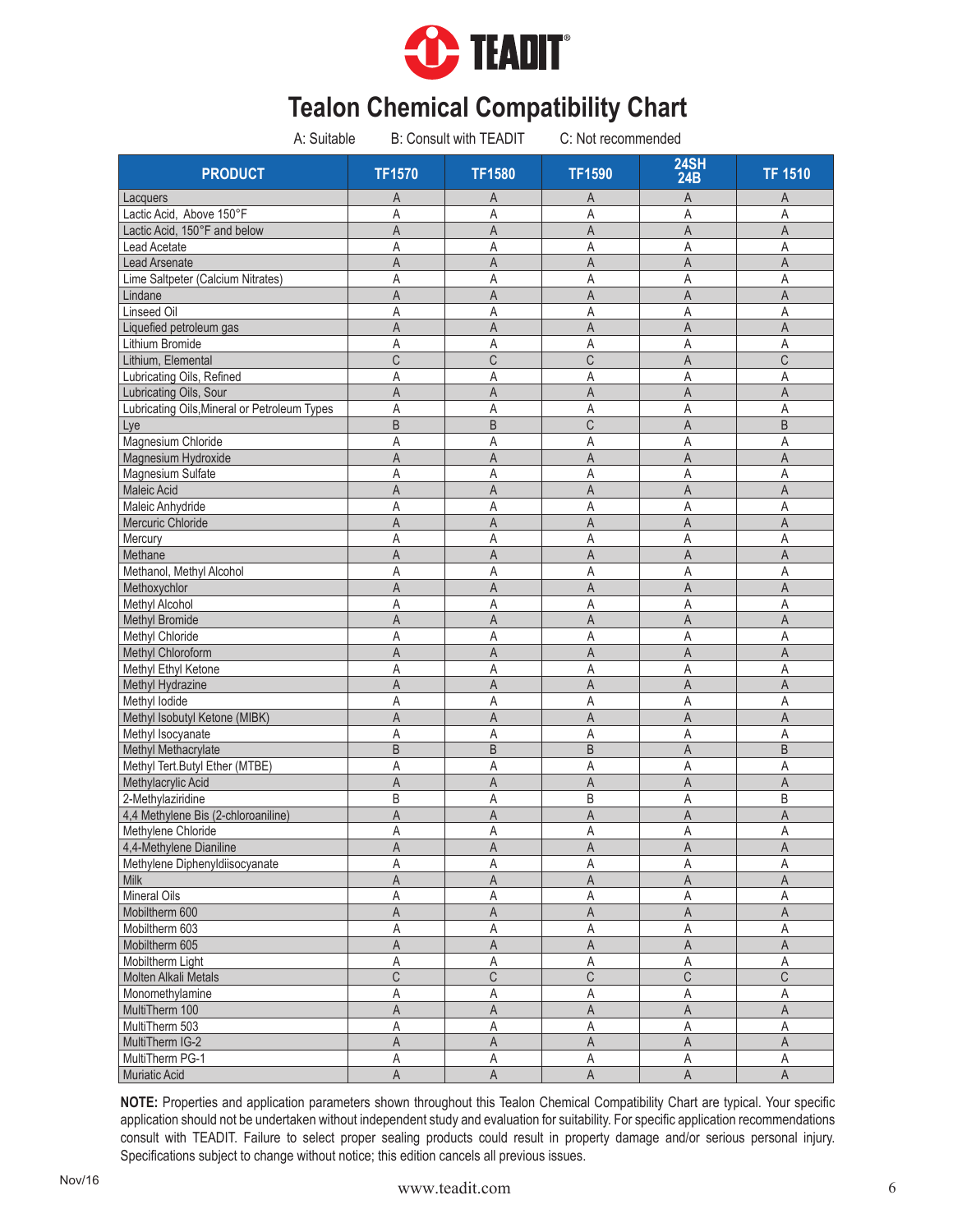

| A: Suitable                                  |                         | <b>B: Consult with TEADIT</b> | C: Not recommended      |                           |                         |
|----------------------------------------------|-------------------------|-------------------------------|-------------------------|---------------------------|-------------------------|
| <b>PRODUCT</b>                               | <b>TF1570</b>           | <b>TF1580</b>                 | <b>TF1590</b>           | <b>24SH</b><br><b>24B</b> | <b>TF 1510</b>          |
| Lacquers                                     | Α                       | Α                             | Α                       | A                         | A                       |
| Lactic Acid, Above 150°F                     | A                       | A                             | Α                       | A                         | A                       |
| Lactic Acid, 150°F and below                 | A                       | A                             | A                       | A                         | $\mathsf A$             |
| <b>Lead Acetate</b>                          | Α                       | A                             | Α                       | A                         | $\mathsf A$             |
| Lead Arsenate                                | A                       | $\overline{A}$                | A                       | $\overline{A}$            | $\mathsf A$             |
| Lime Saltpeter (Calcium Nitrates)            | A                       | A                             | A                       | A                         | A                       |
| Lindane                                      | A                       | A                             | A                       | A                         | $\overline{A}$          |
| Linseed Oil                                  | Α                       | Α                             | A                       | A                         | Α                       |
| Liquefied petroleum gas                      | A                       | $\overline{A}$                | $\overline{A}$          | $\overline{A}$            | $\mathsf A$             |
| Lithium Bromide                              | A                       | A                             | Α                       | A                         | Α                       |
| Lithium, Elemental                           | C                       | C                             | C                       | A                         | C                       |
| Lubricating Oils, Refined                    | Α                       | A                             | Α                       | A                         | A                       |
| Lubricating Oils, Sour                       | A                       | A                             | A                       | A                         | A                       |
| Lubricating Oils, Mineral or Petroleum Types | Α                       | Α                             | Α                       | Α                         | A                       |
| Lye                                          | B                       | B                             | C                       | A                         | B                       |
| Magnesium Chloride                           | A                       | Α                             | Α                       | Α                         | Α                       |
| Magnesium Hydroxide                          | A                       | A                             | A                       | A                         | A                       |
| Magnesium Sulfate                            | Α                       | Α                             | Α                       | A                         | A                       |
| Maleic Acid                                  | Α                       | A                             | Α                       | A                         | $\mathsf{A}$            |
| Maleic Anhydride                             | Α                       | A                             | Α                       | $\mathsf{A}$              | A                       |
| Mercuric Chloride                            | A                       | A                             | A                       | $\overline{A}$            | $\mathsf A$             |
| Mercury                                      | Α                       | Α                             | Α                       | Α                         | A                       |
| Methane                                      | A                       | A                             | A                       | A                         | A                       |
| Methanol, Methyl Alcohol                     | Α                       | Α                             | Α                       | A                         | $\mathsf A$             |
| Methoxychlor                                 | A                       | A                             | $\overline{A}$          | $\overline{A}$            | $\mathsf{A}$            |
| Methyl Alcohol                               | Α                       | Α                             | Α                       | Α                         | A                       |
| <b>Methyl Bromide</b>                        | A                       | A                             | A                       | $\mathsf A$               | $\overline{A}$          |
| Methyl Chloride                              | Α                       | Α                             | Α                       | Α                         | Α                       |
| Methyl Chloroform                            | A                       | A                             | A                       | $\overline{A}$            | $\mathsf A$             |
| Methyl Ethyl Ketone                          | Α                       | Α                             | Α                       | Α                         | $\mathsf A$             |
| Methyl Hydrazine                             | A                       | A                             | A                       | $\overline{A}$            | $\mathsf A$             |
| Methyl lodide                                | A                       | A                             | A                       | A                         | A                       |
| Methyl Isobutyl Ketone (MIBK)                | A                       | A                             | A                       | A                         | A                       |
| Methyl Isocyanate                            | Α                       | Α                             | Α                       | Α                         | A                       |
| Methyl Methacrylate                          | B                       | $\sf B$                       | B                       | $\overline{A}$            | B                       |
| Methyl Tert.Butyl Ether (MTBE)               | A                       | A                             | Α                       | Α                         | Α                       |
| Methylacrylic Acid                           | A                       | A                             | A                       | $\overline{A}$            | $\mathsf A$             |
| 2-Methylaziridine                            | B                       | Α                             | B                       | Α                         | B                       |
| 4,4 Methylene Bis (2-chloroaniline)          | A                       | A                             | $\overline{A}$          | A                         | A                       |
| Methylene Chloride                           | A                       | A                             | $\mathsf A$             | $\mathsf A$               | $\mathsf A$             |
| 4,4-Methylene Dianiline                      | A                       | $\mathsf A$                   | $\mathsf A$             | $\mathsf A$               | $\mathsf A$             |
| Methylene Diphenyldiisocyanate               | Α                       | Α                             | Α                       | Α                         | Α                       |
| Milk                                         | A                       | A                             | A                       | $\mathsf A$               | $\mathsf A$             |
| Mineral Oils                                 | Α                       | A                             | Α                       | $\overline{A}$            | $\mathsf A$             |
| Mobiltherm 600                               | Α                       | $\mathsf A$                   | Α                       | $\mathsf A$               | $\mathsf A$             |
| Mobiltherm 603                               | Α                       | A                             | Α                       | $\mathsf A$               | $\mathsf A$             |
|                                              |                         |                               |                         | $\sf A$                   | $\mathsf A$             |
| Mobiltherm 605                               | A<br>Α                  | A<br>A                        | A                       | A                         | $\mathsf A$             |
| Mobiltherm Light                             | C                       | $\mathsf C$                   | Α                       | $\mathsf C$               | $\overline{\mathbb{C}}$ |
| Molten Alkali Metals                         |                         |                               | C                       |                           |                         |
| Monomethylamine                              | Α                       | $\mathsf A$                   | Α                       | Α                         | Α                       |
| MultiTherm 100                               | $\overline{\mathsf{A}}$ | $\overline{A}$                | A                       | $\overline{A}$            | $\overline{A}$          |
| MultiTherm 503                               | A                       | Α                             | Α                       | A                         | $\overline{A}$          |
| MultiTherm IG-2                              | Α                       | $\mathsf A$                   | A                       | $\mathsf A$               | $\mathsf A$             |
| MultiTherm PG-1                              | Α                       | Α                             | Α                       | $\overline{A}$            | Α                       |
| Muriatic Acid                                | $\overline{\mathsf{A}}$ | $\overline{A}$                | $\overline{\mathsf{A}}$ | $\overline{\mathsf{A}}$   | $\overline{A}$          |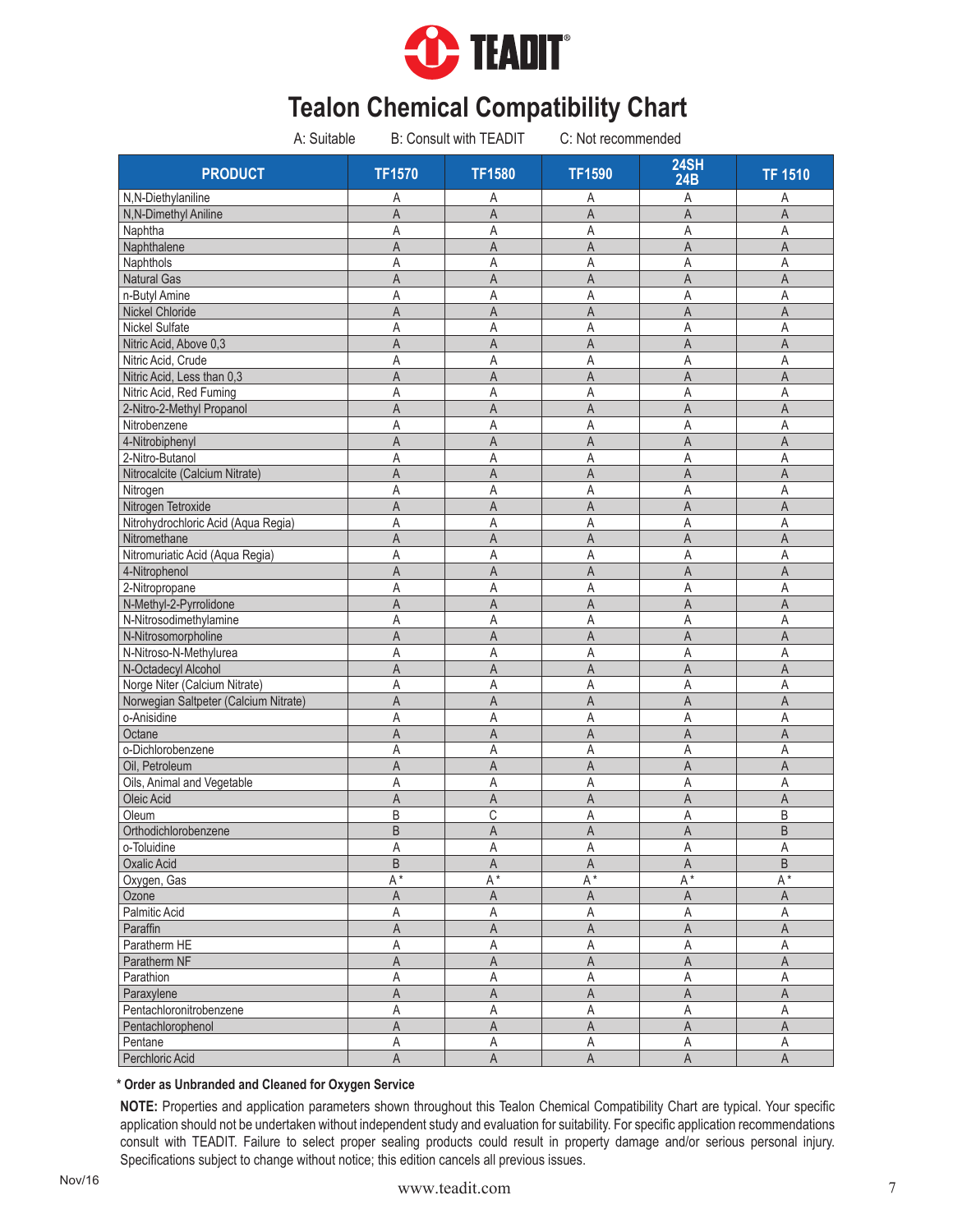

| A: Suitable                           |                | <b>B: Consult with TEADIT</b> | C: Not recommended      |                           |                         |
|---------------------------------------|----------------|-------------------------------|-------------------------|---------------------------|-------------------------|
| <b>PRODUCT</b>                        | <b>TF1570</b>  | <b>TF1580</b>                 | <b>TF1590</b>           | <b>24SH</b><br><b>24B</b> | <b>TF 1510</b>          |
| N,N-Diethylaniline                    | Α              | Α                             | Α                       | Α                         | Α                       |
| N,N-Dimethyl Aniline                  | $\overline{A}$ | $\overline{A}$                | $\overline{A}$          | A                         | $\overline{A}$          |
| Naphtha                               | A              | Α                             | Α                       | A                         | Α                       |
| Naphthalene                           | A              | A                             | $\overline{A}$          | $\overline{A}$            | A                       |
| Naphthols                             | Α              | A                             | Α                       | A                         | A                       |
| <b>Natural Gas</b>                    | A              | A                             | A                       | A                         | $\mathsf{A}$            |
| n-Butyl Amine                         | Α              | A                             | A                       | Α                         | A                       |
| Nickel Chloride                       | A              | A                             | A                       | $\overline{A}$            | A                       |
| <b>Nickel Sulfate</b>                 | Α              | A                             | A                       | A                         | Α                       |
| Nitric Acid, Above 0,3                | A              | A                             | A                       | A                         | $\mathsf{A}$            |
| Nitric Acid, Crude                    | Α              | Α                             | Α                       | Α                         | Α                       |
| Nitric Acid, Less than 0,3            | A              | A                             | A                       | A                         | A                       |
| Nitric Acid, Red Fuming               | Α              | Α                             | Α                       | Α                         | Α                       |
| 2-Nitro-2-Methyl Propanol             | A              | $\overline{A}$                | A                       | $\overline{A}$            | $\mathsf{A}$            |
| Nitrobenzene                          | Α              | Α                             | Α                       | Α                         | Α                       |
| 4-Nitrobiphenyl                       | A              | $\mathsf A$                   | $\overline{A}$          | $\overline{A}$            | $\mathsf A$             |
| 2-Nitro-Butanol                       | Α              | A                             | Α                       | Α                         | Α                       |
| Nitrocalcite (Calcium Nitrate)        | A              | A                             | A                       | $\overline{A}$            | $\mathsf A$             |
| Nitrogen                              | Α              | Α                             | Α                       | Α                         | A                       |
| Nitrogen Tetroxide                    | A              | A                             | A                       | $\overline{A}$            | $\mathsf A$             |
| Nitrohydrochloric Acid (Aqua Regia)   | A              | Α                             | Α                       | A                         | A                       |
| Nitromethane                          | A              | A                             | A                       | A                         | A                       |
| Nitromuriatic Acid (Aqua Regia)       | Α              | Α                             | Α                       | A                         | A                       |
| 4-Nitrophenol                         | A              | $\mathsf{A}$                  | $\overline{A}$          | $\overline{A}$            | A                       |
| 2-Nitropropane                        | A              | A                             | A                       | A                         | A                       |
| N-Methyl-2-Pyrrolidone                | A              | $\overline{A}$                | A                       | A                         | $\mathsf{A}$            |
| N-Nitrosodimethylamine                | Α              | Α                             | Α                       | A                         | Α                       |
| N-Nitrosomorpholine                   | $\overline{A}$ | $\overline{A}$                | A                       | $\overline{A}$            | $\overline{A}$          |
| N-Nitroso-N-Methylurea                | Α              | A                             | A                       | A                         | A                       |
| N-Octadecyl Alcohol                   | A              | $\overline{A}$                | A                       | A                         | A                       |
| Norge Niter (Calcium Nitrate)         | Α              | A                             | A                       | A                         | A                       |
| Norwegian Saltpeter (Calcium Nitrate) | A              | $\overline{A}$                | $\overline{A}$          | $\overline{A}$            | $\overline{A}$          |
| o-Anisidine                           | A              | A                             | A                       | A                         | A                       |
| Octane                                | A              | A                             | A                       | A                         | A                       |
| o-Dichlorobenzene                     | A              | A                             | Α                       | A                         | Α                       |
| Oil, Petroleum                        | A              | A                             | A                       | $\overline{A}$            | $\mathsf{A}$            |
| Oils, Animal and Vegetable            | Α              | A                             | Α                       | A                         | A                       |
| Oleic Acid                            | Α              | A                             | A                       | A                         | A                       |
| Oleum                                 | B              | C                             | A                       | Α                         | B                       |
| Orthodichlorobenzene                  | $\overline{B}$ | $\mathsf A$                   | A                       | $\mathsf{A}$              | B                       |
| o-Toluidine                           | Α              | Α                             | Α                       | Α                         | Α                       |
| Oxalic Acid                           | B              | A                             | Α                       | A                         | B                       |
| Oxygen, Gas                           | $A^*$          | $A^*$                         | A*                      | $\mathsf{A}^{\,\star}$    | $\mathsf{A}^{\,\star}$  |
| Ozone                                 | $\mathsf A$    | $\mathsf A$                   | A                       | $\mathsf A$               | A                       |
| Palmitic Acid                         | Α              | A                             | Α                       | Α                         | $\mathsf A$             |
| Paraffin                              | Α              | A                             | A                       | A                         | A                       |
| Paratherm HE                          | Α              | $\mathsf A$                   | A                       | A                         | $\mathsf A$             |
| Paratherm NF                          | A              | $\mathsf A$                   | A                       | $\mathsf A$               | $\mathsf A$             |
| Parathion                             | Α              | $\mathsf A$                   | Α                       | A                         | $\mathsf A$             |
| Paraxylene                            | Α              | $\mathsf A$                   | Α                       | A                         | A                       |
| Pentachloronitrobenzene               | Α              | A                             | A                       | A                         | A                       |
| Pentachlorophenol                     | $\overline{A}$ | $\overline{A}$                | $\overline{\mathsf{A}}$ | $\overline{\mathsf{A}}$   | $\overline{A}$          |
| Pentane                               | Α              | Α                             | Α                       | A                         | Α                       |
| Perchloric Acid                       | $\overline{A}$ | $\overline{\mathsf{A}}$       | $\overline{\mathsf{A}}$ | $\overline{\mathsf{A}}$   | $\overline{\mathsf{A}}$ |

#### **\* Order as Unbranded and Cleaned for Oxygen Service**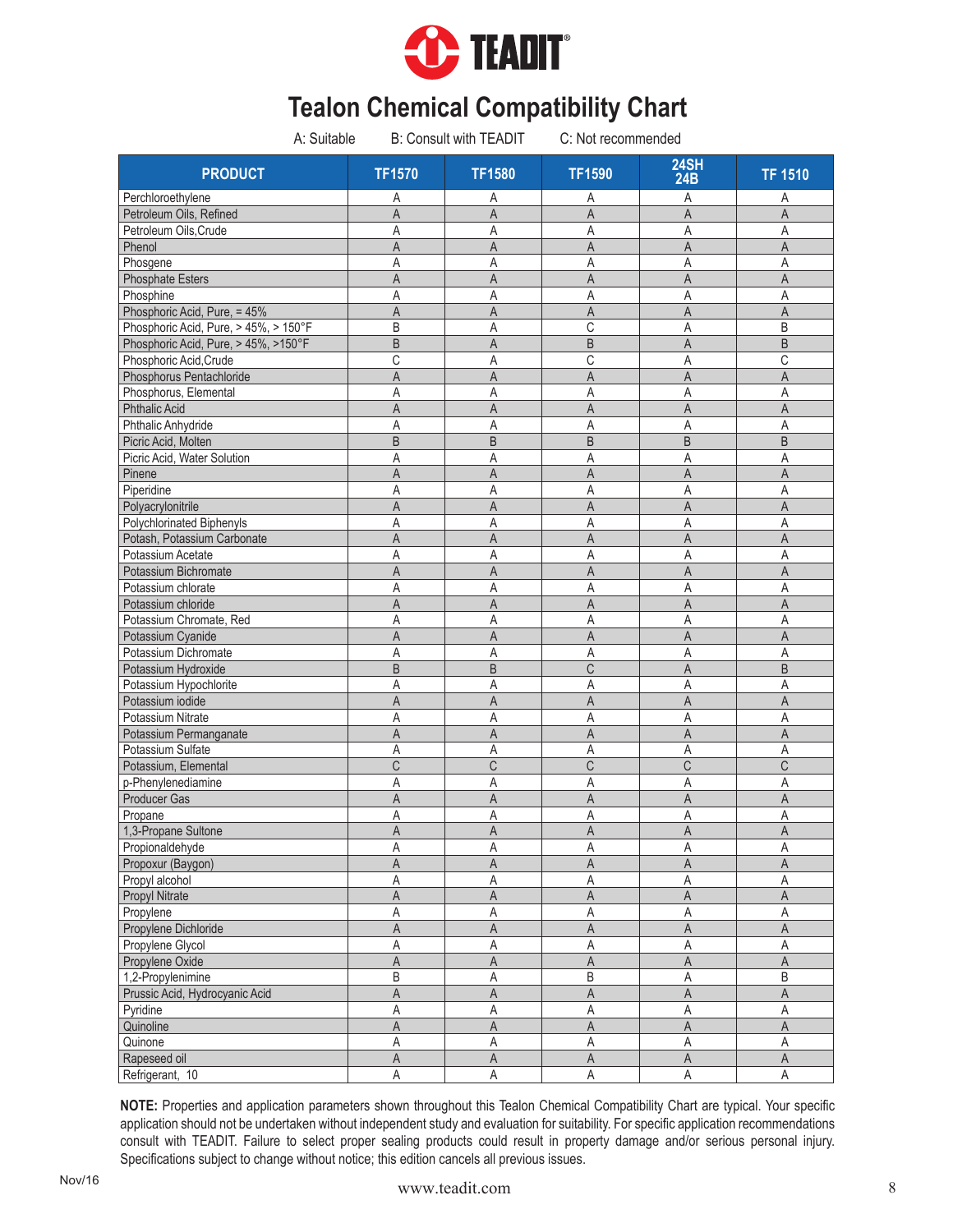

| A: Suitable                           |                | <b>B: Consult with TEADIT</b> | C: Not recommended |                           |                         |
|---------------------------------------|----------------|-------------------------------|--------------------|---------------------------|-------------------------|
| <b>PRODUCT</b>                        | <b>TF1570</b>  | <b>TF1580</b>                 | <b>TF1590</b>      | <b>24SH</b><br><b>24B</b> | <b>TF 1510</b>          |
| Perchloroethylene                     | Α              | Α                             | Α                  | Α                         | Α                       |
| Petroleum Oils, Refined               | A              | A                             | A                  | $\overline{A}$            | A                       |
| Petroleum Oils, Crude                 | A              | Α                             | Α                  | Α                         | Α                       |
| Phenol                                | $\overline{A}$ | A                             | A                  | $\overline{A}$            | $\mathsf{A}$            |
| Phosgene                              | Α              | A                             | Α                  | A                         | Α                       |
| <b>Phosphate Esters</b>               | A              | A                             | A                  | $\overline{A}$            | $\mathsf{A}$            |
| Phosphine                             | Α              | Α                             | Α                  | A                         | A                       |
| Phosphoric Acid, Pure, = 45%          | A              | A                             | A                  | $\mathsf{A}$              | $\overline{A}$          |
| Phosphoric Acid, Pure, > 45%, > 150°F | B              | A                             | C                  | A                         | B                       |
| Phosphoric Acid, Pure, > 45%, >150°F  | B              | A                             | B                  | $\overline{A}$            | B                       |
| Phosphoric Acid, Crude                | С              | Α                             | C                  | Α                         | C                       |
| Phosphorus Pentachloride              | A              | A                             | A                  | A                         | $\mathsf{A}$            |
| Phosphorus, Elemental                 | Α              | Α                             | Α                  | Α                         | Α                       |
| <b>Phthalic Acid</b>                  | A              | A                             | A                  | A                         | $\mathsf A$             |
| Phthalic Anhydride                    | Α              | Α                             | Α                  | Α                         | Α                       |
| Picric Acid, Molten                   | $\overline{B}$ | B                             | $\sf B$            | $\sf B$                   | B                       |
| Picric Acid, Water Solution           | A              | Α                             | Α                  | Α                         | Α                       |
| Pinene                                | A              | A                             | A                  | A                         | $\mathsf{A}$            |
| Piperidine                            | Α              | Α                             | Α                  | Α                         | Α                       |
| Polyacrylonitrile                     | A              | $\overline{A}$                | $\mathsf A$        | $\mathsf A$               | $\mathsf A$             |
| Polychlorinated Biphenyls             | Α              | Α                             | Α                  | Α                         | A                       |
| Potash, Potassium Carbonate           | A              | A                             | A                  | A                         | A                       |
| Potassium Acetate                     | Α              | A                             | Α                  | $\mathsf A$               | Α                       |
| Potassium Bichromate                  | A              | $\mathsf{A}$                  | A                  | A                         | $\mathsf{A}$            |
| Potassium chlorate                    | A              | Α                             | Α                  | A                         | A                       |
| Potassium chloride                    | A              | A                             | A                  | A                         | A                       |
| Potassium Chromate, Red               | Α              | A                             | Α                  | A                         | A                       |
| Potassium Cyanide                     | $\overline{A}$ | $\overline{A}$                | A                  | $\overline{A}$            | $\overline{A}$          |
| Potassium Dichromate                  | A              | A                             | Α                  | Α                         | A                       |
| Potassium Hydroxide                   | B              | B                             | C                  | A                         | B                       |
| Potassium Hypochlorite                | Α              | Α                             | Α                  | A                         | Α                       |
| Potassium iodide                      | A              | $\overline{A}$                | A                  | A                         | $\mathsf{A}$            |
| Potassium Nitrate                     | A              | A                             | Α                  | A                         | A                       |
| Potassium Permanganate                | A              | A                             | Α                  | A                         | A                       |
| Potassium Sulfate                     | A              | Α                             | Α                  | A                         | Α                       |
| Potassium, Elemental                  | C              | C                             | $\mathsf C$        | $\mathsf C$               | $\mathsf C$             |
| p-Phenylenediamine                    | Α              | Α                             | Α                  | A                         | Α                       |
| <b>Producer Gas</b>                   | Α              | A                             | Α                  | A                         | A                       |
| Propane                               | A              | Α                             | Α                  | Α                         | Α                       |
| 1,3-Propane Sultone                   | A              | $\mathsf A$                   | $\mathsf A$        | $\mathsf A$               | $\overline{\mathsf{A}}$ |
| Propionaldehyde                       | Α              | Α                             | Α                  | Α                         | Α                       |
| Propoxur (Baygon)                     | Α              | A                             | A                  | A                         | A                       |
| Propyl alcohol                        | Α              | A                             | Α                  | Α                         | Α                       |
| Propyl Nitrate                        | Α              | $\mathsf A$                   | $\mathsf A$        | $\mathsf A$               | $\mathsf A$             |
| Propylene                             | Α              | A                             | Α                  | $\mathsf A$               | $\mathsf A$             |
| Propylene Dichloride                  | A              | A                             | Α                  | $\mathsf A$               | A                       |
| Propylene Glycol                      | A              | $\mathsf A$                   | $\mathsf A$        | $\mathsf A$               | $\mathsf A$             |
| Propylene Oxide                       | A              | $\mathsf A$                   | $\mathsf A$        | $\overline{\mathsf{A}}$   | $\mathsf A$             |
| 1,2-Propylenimine                     | B              | $\mathsf A$                   | B                  | $\mathsf A$               | B                       |
| Prussic Acid, Hydrocyanic Acid        | A              | Α                             | A                  | $\mathsf A$               | A                       |
| Pyridine                              | Α              | $\mathsf A$                   | $\mathsf A$        | $\mathsf A$               | $\mathsf A$             |
| Quinoline                             | $\overline{A}$ | $\overline{A}$                | $\overline{A}$     | $\overline{A}$            | $\overline{\mathsf{A}}$ |
| Quinone                               | A              | Α                             | Α                  | Α                         | $\mathsf A$             |
| Rapeseed oil                          | $\mathsf A$    | $\mathsf A$                   | $\mathsf A$        | $\mathsf A$               | $\mathsf A$             |
| Refrigerant, 10                       | Α              | A                             | A                  | $\mathsf A$               | $\mathsf A$             |
|                                       |                |                               |                    |                           |                         |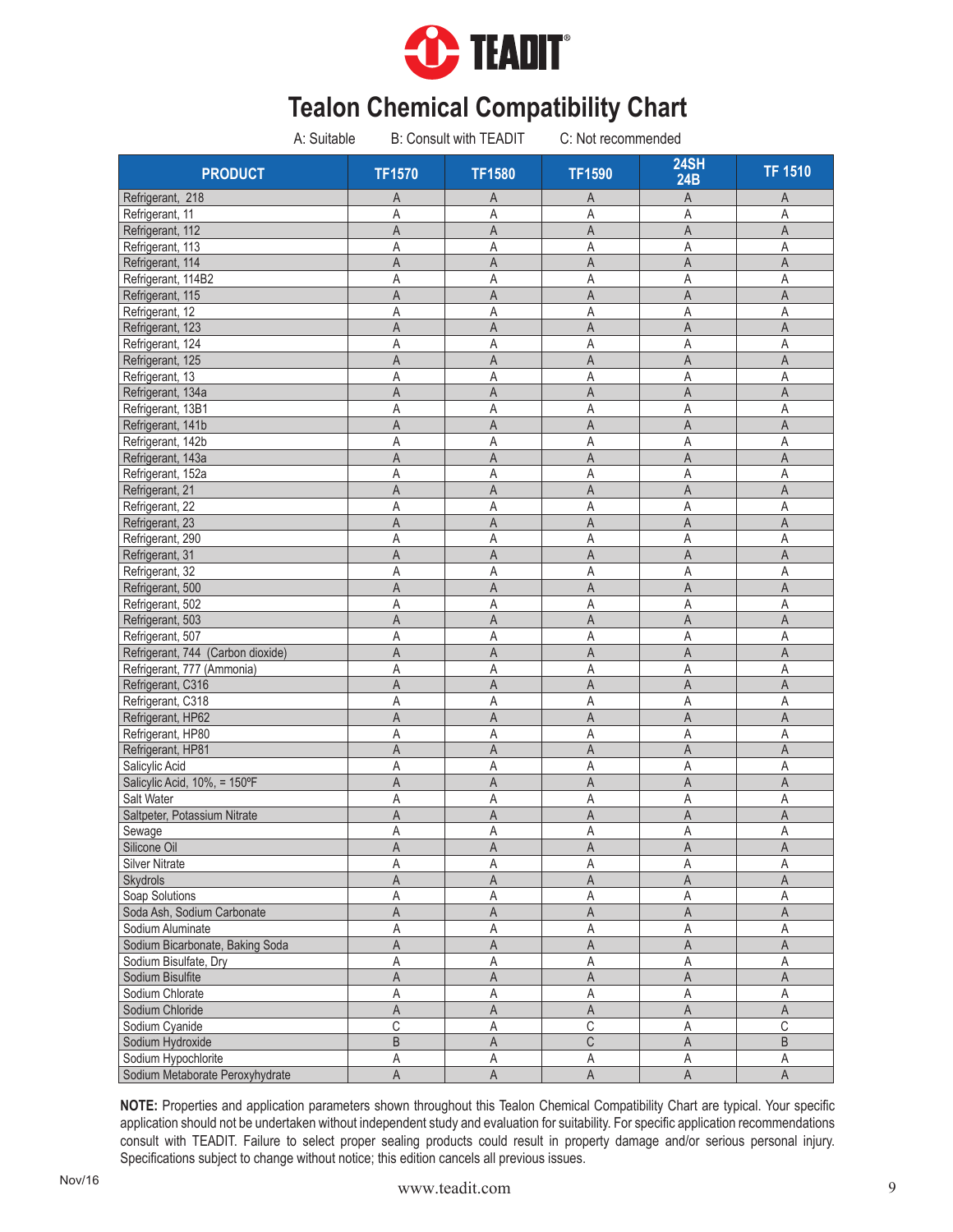

| A: Suitable                       |                         | <b>B: Consult with TEADIT</b> | C: Not recommended |                         |                         |
|-----------------------------------|-------------------------|-------------------------------|--------------------|-------------------------|-------------------------|
| <b>PRODUCT</b>                    | <b>TF1570</b>           | <b>TF1580</b>                 | <b>TF1590</b>      | 24SH<br>24B             | <b>TF 1510</b>          |
| Refrigerant, 218                  | Α                       | A                             | A                  | A                       | Α                       |
| Refrigerant, 11                   | Α                       | A                             | Α                  | A                       | A                       |
| Refrigerant, 112                  | A                       | A                             | A                  | A                       | $\mathsf A$             |
| Refrigerant, 113                  | Α                       | Α                             | Α                  | A                       | A                       |
| Refrigerant, 114                  | A                       | $\overline{A}$                | A                  | A                       | $\overline{A}$          |
| Refrigerant, 114B2                | Α                       | Α                             | Α                  | A                       | Α                       |
| Refrigerant, 115                  | A                       | A                             | A                  | A                       | A                       |
| Refrigerant, 12                   | Α                       | Α                             | A                  | A                       | Α                       |
| Refrigerant, 123                  | A                       | A                             | A                  | $\overline{A}$          | A                       |
| Refrigerant, 124                  | Α                       | A                             | Α                  | A                       | A                       |
| Refrigerant, 125                  | A                       | A                             | A                  | A                       | A                       |
| Refrigerant, 13                   | Α                       | Α                             | Α                  | A                       | Α                       |
| Refrigerant, 134a                 | A                       | A                             | A                  | A                       | A                       |
| Refrigerant, 13B1                 | Α                       | A                             | Α                  | Α                       | Α                       |
| Refrigerant, 141b                 | Α                       | A                             | A                  | A                       | A                       |
| Refrigerant, 142b                 | A                       | Α                             | Α                  | Α                       | Α                       |
| Refrigerant, 143a                 | A                       | A                             | A                  | A                       | A                       |
| Refrigerant, 152a                 | A                       | Α                             | Α                  | Α                       | Α                       |
| Refrigerant, 21                   | Α                       | A                             | A                  | A                       | A                       |
| Refrigerant, 22                   | Α                       | A                             | Α                  | Α                       | A                       |
| Refrigerant, 23                   | $\mathsf{A}$            | A                             | A                  | A                       | $\overline{A}$          |
| Refrigerant, 290                  | Α                       | A                             | Α                  | Α                       | Α                       |
| Refrigerant, 31                   | A                       | A                             | A                  | A                       | A                       |
| Refrigerant, 32                   | Α                       | A                             | Α                  | A                       | $\overline{A}$          |
| Refrigerant, 500                  | A                       | $\mathsf{A}$                  | $\overline{A}$     | A                       | $\mathsf{A}$            |
| Refrigerant, 502                  | Α                       | Α                             | Α                  | A                       | Α                       |
| Refrigerant, 503                  | A                       | A                             | A                  | $\overline{A}$          | $\mathsf A$             |
| Refrigerant, 507                  | A                       | Α                             | Α                  | A                       | A                       |
| Refrigerant, 744 (Carbon dioxide) | $\overline{\mathsf{A}}$ | $\mathsf{A}$                  | $\overline{A}$     | $\overline{A}$          | $\overline{A}$          |
| Refrigerant, 777 (Ammonia)        | Α                       | Α                             | Α                  | A                       | Α                       |
| Refrigerant, C316                 | A                       | A                             | A                  | $\overline{A}$          | $\mathsf{A}$            |
| Refrigerant, C318                 | Α                       | Α                             | A                  | A                       | Α                       |
| Refrigerant, HP62                 | A                       | A                             | A                  | A                       | A                       |
| Refrigerant, HP80                 | Α                       | Α                             | Α                  | A                       | Α                       |
| Refrigerant, HP81                 | A                       | A                             | A                  | A                       | $\mathsf{A}$            |
| Salicylic Acid                    | Α                       | Α                             | Α                  | Α                       | Α                       |
| Salicylic Acid, 10%, = 150°F      | A                       | A                             | A                  | A                       | A                       |
| Salt Water                        | Α                       | Α                             | Α                  | Α                       | Α                       |
| Saltpeter, Potassium Nitrate      | A                       | $\mathsf A$                   | A                  | A                       | $\mathsf A$             |
| Sewage                            | Α                       | A                             | Α                  | $\mathsf A$             | $\mathsf A$             |
| Silicone Oil                      | A                       | $\mathsf A$                   | $\mathsf A$        | $\mathsf A$             | $\mathsf A$             |
| Silver Nitrate                    | Α                       | Α                             | Α                  | Α                       | Α                       |
| Skydrols                          | A                       | $\overline{A}$                | A                  | $\mathsf A$             | A                       |
| Soap Solutions                    | Α                       | A                             | Α                  | $\mathsf A$             | $\overline{A}$          |
| Soda Ash, Sodium Carbonate        | A                       | A                             | A                  | $\overline{\mathsf{A}}$ | $\mathsf A$             |
| Sodium Aluminate                  | Α                       | Α                             | Α                  | A                       | $\mathsf A$             |
| Sodium Bicarbonate, Baking Soda   | $\overline{\mathsf{A}}$ | $\mathsf A$                   | $\mathsf A$        | $\mathsf A$             | $\mathsf A$             |
| Sodium Bisulfate, Dry             | A                       | $\mathsf A$                   | A                  | A                       | $\mathsf A$             |
| Sodium Bisulfite                  | A                       | $\mathsf A$                   | $\mathsf A$        | $\mathsf A$             | $\mathsf A$             |
| Sodium Chlorate                   | Α                       | $\mathsf A$                   | Α                  | Α                       | $\mathsf A$             |
| Sodium Chloride                   | $\overline{\mathsf{A}}$ | $\overline{A}$                | A                  | $\overline{A}$          | $\overline{A}$          |
| Sodium Cyanide                    | C                       | A                             | $\overline{C}$     | A                       | $\overline{C}$          |
| Sodium Hydroxide                  | $\overline{B}$          | $\mathsf A$                   | $\mathsf C$        | $\mathsf A$             | $\overline{\mathsf{B}}$ |
| Sodium Hypochlorite               | Α                       | Α                             | Α                  | $\overline{A}$          | Α                       |
| Sodium Metaborate Peroxyhydrate   | $\overline{\mathsf{A}}$ | $\overline{A}$                | A                  | $\overline{A}$          | $\overline{\mathsf{A}}$ |
|                                   |                         |                               |                    |                         |                         |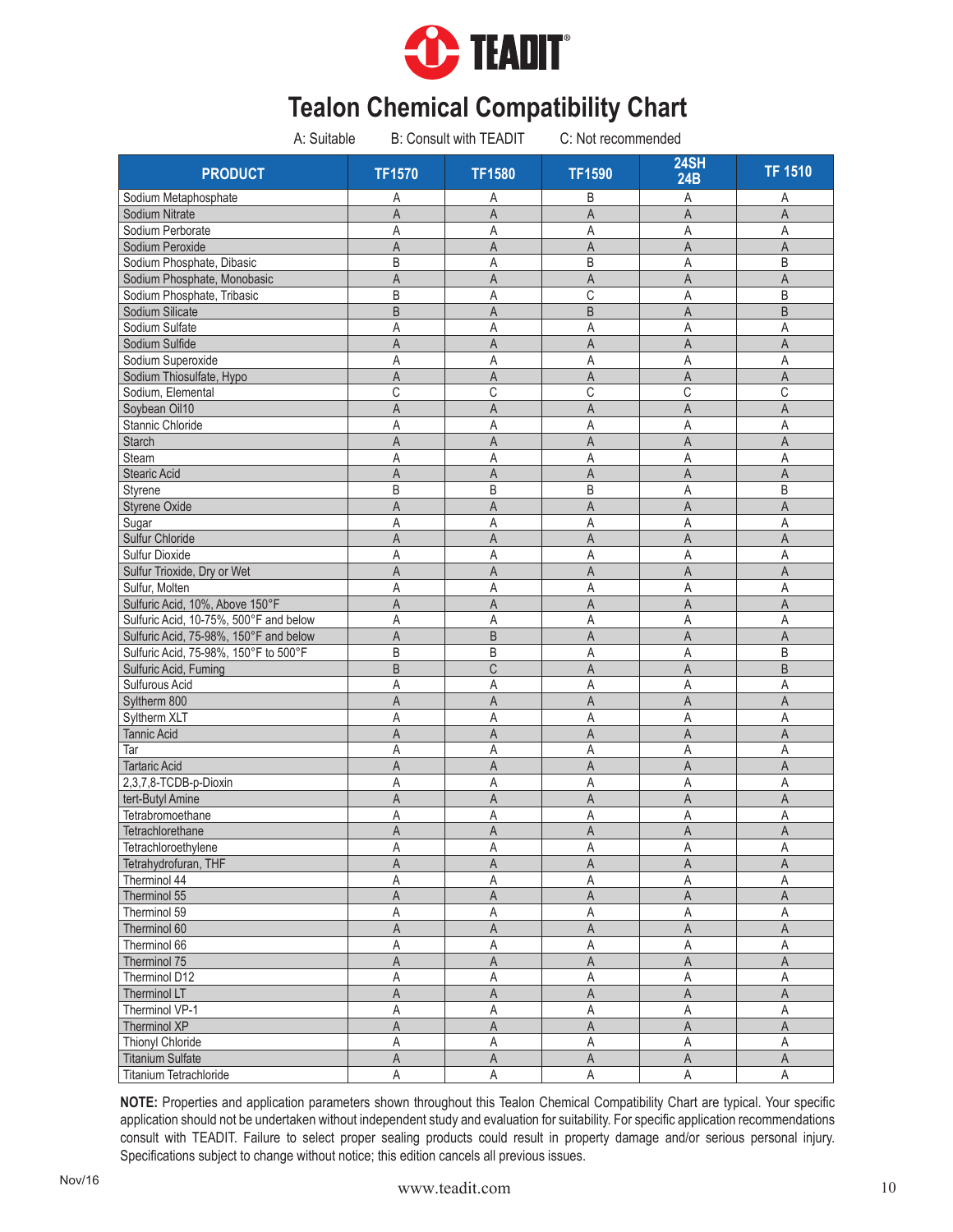

| A: Suitable                                 |                         | <b>B: Consult with TEADIT</b> | C: Not recommended |                         |                |
|---------------------------------------------|-------------------------|-------------------------------|--------------------|-------------------------|----------------|
| <b>PRODUCT</b>                              | <b>TF1570</b>           | <b>TF1580</b>                 | <b>TF1590</b>      | <b>24SH</b><br>24B      | <b>TF 1510</b> |
| Sodium Metaphosphate                        | Α                       | Α                             | B                  | A                       | Α              |
| Sodium Nitrate                              | $\overline{A}$          | A                             | A                  | A                       | $\overline{A}$ |
| Sodium Perborate                            | Α                       | Α                             | Α                  | Α                       | Α              |
| Sodium Peroxide                             | $\overline{A}$          | A                             | A                  | $\overline{A}$          | $\mathsf{A}$   |
| Sodium Phosphate, Dibasic                   | B                       | Α                             | B                  | A                       | B              |
| Sodium Phosphate, Monobasic                 | A                       | A                             | A                  | A                       | A              |
| Sodium Phosphate, Tribasic                  | B                       | A                             | С                  | Α                       | B              |
| Sodium Silicate                             | $\overline{B}$          | A                             | B                  | A                       | B              |
| Sodium Sulfate                              | A                       | A                             | A                  | A                       | A              |
| Sodium Sulfide                              | A                       | $\overline{A}$                | A                  | A                       | $\overline{A}$ |
| Sodium Superoxide                           | A                       | A                             | A                  | A                       | A              |
| Sodium Thiosulfate, Hypo                    | A                       | A                             | A                  | A                       | A              |
| Sodium, Elemental                           | C                       | C                             | C                  | С                       | C              |
| Soybean Oil10                               | A                       | $\overline{A}$                | A                  | A                       | A              |
| Stannic Chloride                            | Α                       | Α                             | Α                  | Α                       | Α              |
| <b>Starch</b>                               | A                       | $\overline{A}$                | A                  | A                       | $\mathsf{A}$   |
| Steam                                       | Α                       | A                             | Α                  | A                       | Α              |
| <b>Stearic Acid</b>                         | A                       | $\overline{A}$                | A                  | A                       | A              |
| Styrene                                     | B                       | B                             | B                  | A                       | B              |
| <b>Styrene Oxide</b>                        | A                       | $\overline{A}$                | A                  | A                       | A              |
| Sugar                                       | Α                       | A                             | Α                  | $\mathsf A$             | Α              |
| Sulfur Chloride                             | A                       | A                             | A                  | A                       | A              |
| Sulfur Dioxide                              | Α                       | Α                             | Α                  | Α                       | A              |
| Sulfur Trioxide, Dry or Wet                 | A                       | $\mathsf{A}$                  | A                  | A                       | $\mathsf{A}$   |
| Sulfur, Molten                              | A                       | A                             | Α                  | A                       | A              |
| Sulfuric Acid, 10%, Above 150°F             | A                       | A                             | A                  | A                       | A              |
| Sulfuric Acid, 10-75%, 500°F and below      | Α                       | A                             | Α                  | Α                       | A              |
| Sulfuric Acid, 75-98%, 150°F and below      | $\overline{A}$          | B                             | A                  | A                       | $\mathsf{A}$   |
| Sulfuric Acid, 75-98%, 150°F to 500°F       | B                       | B                             | A                  | A                       | B              |
| Sulfuric Acid, Fuming                       | B                       | C                             | A                  | A                       | B              |
| Sulfurous Acid                              | Α                       | A                             | Α                  | A                       | A              |
| Syltherm 800                                | $\overline{A}$          | $\overline{A}$                | A                  | $\overline{A}$          | $\mathsf{A}$   |
| Syltherm XLT                                | A                       | A                             | Α                  | A                       | A              |
| <b>Tannic Acid</b>                          | A                       | A                             | Α                  | A                       | A              |
| Tar                                         | Α                       | A                             | Α                  | A                       | A              |
| <b>Tartaric Acid</b>                        | A                       | $\overline{A}$                | A                  | A                       | $\mathsf{A}$   |
| 2,3,7,8-TCDB-p-Dioxin                       | Α                       | A                             | Α                  | Α                       | A              |
| tert-Butyl Amine                            | A                       | A                             | A                  | A                       | A              |
| Tetrabromoethane                            | Α                       | A                             | Α                  | Α                       | Α              |
| Tetrachlorethane                            | A                       | $\mathsf A$                   | A                  | $\overline{\mathsf{A}}$ | $\mathsf A$    |
|                                             |                         | Α                             |                    |                         | Α              |
| Tetrachloroethylene<br>Tetrahydrofuran, THF | А                       |                               | Α                  | Α                       |                |
|                                             | Α                       | A                             | Α                  | Α                       | A              |
| Therminol 44                                | А                       | Α                             | Α                  | Α<br>$\mathsf A$        | Α<br>A         |
| Therminol 55                                | A                       | A                             | A                  |                         |                |
| Therminol 59                                | Α                       | Α                             | Α                  | Α                       | Α              |
| Therminol 60                                | A                       | A                             | A                  | A                       | A              |
| Therminol 66                                | Α                       | A                             | Α                  | A                       | Α              |
| Therminol 75                                | $\mathsf A$             | $\mathsf A$                   | A                  | $\mathsf A$             | $\mathsf A$    |
| Therminol D12                               | $\mathsf A$             | Α                             | Α                  | A                       | Α              |
| Therminol LT                                | A                       | A                             | A                  | A                       | A              |
| Therminol VP-1                              | Α                       | A                             | $\mathsf A$        | A                       | Α              |
| Therminol XP                                | $\overline{\mathsf{A}}$ | A                             | $\mathsf A$        | $\overline{\mathsf{A}}$ | $\mathsf A$    |
| Thionyl Chloride                            | Α                       | Α                             | Α                  | Α                       | $\mathsf A$    |
| <b>Titanium Sulfate</b>                     | $\mathsf A$             | $\mathsf A$                   | $\mathsf A$        | $\mathsf A$             | $\mathsf A$    |
| Titanium Tetrachloride                      | A                       | A                             | A                  | A                       | $\mathsf A$    |